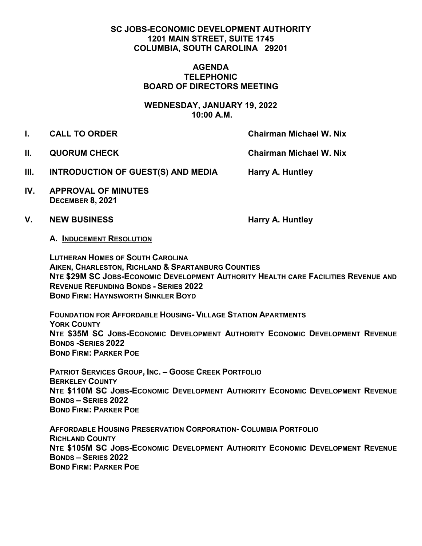# **SC JOBS-ECONOMIC DEVELOPMENT AUTHORITY 1201 MAIN STREET, SUITE 1745 COLUMBIA, SOUTH CAROLINA 29201**

#### **AGENDA TELEPHONIC BOARD OF DIRECTORS MEETING**

**WEDNESDAY, JANUARY 19, 2022 10:00 A.M.**

- 
- **I. CALL TO ORDER Chairman Michael W. Nix**
- 

**II. QUORUM CHECK Chairman Michael W. Nix** 

- **III. INTRODUCTION OF GUEST(S) AND MEDIA Harry A. Huntley**
- **IV. APPROVAL OF MINUTES DECEMBER 8, 2021**
- V. NEW BUSINESS **Harry A. Huntley**

**A. INDUCEMENT RESOLUTION**

**LUTHERAN HOMES OF SOUTH CAROLINA AIKEN, CHARLESTON, RICHLAND & SPARTANBURG COUNTIES NTE \$29M SC JOBS-ECONOMIC DEVELOPMENT AUTHORITY HEALTH CARE FACILITIES REVENUE AND REVENUE REFUNDING BONDS - SERIES 2022 BOND FIRM: HAYNSWORTH SINKLER BOYD**

**FOUNDATION FOR AFFORDABLE HOUSING- VILLAGE STATION APARTMENTS YORK COUNTY NTE \$35M SC JOBS-ECONOMIC DEVELOPMENT AUTHORITY ECONOMIC DEVELOPMENT REVENUE BONDS -SERIES 2022 BOND FIRM: PARKER POE**

**PATRIOT SERVICES GROUP, INC. – GOOSE CREEK PORTFOLIO BERKELEY COUNTY NTE \$110M SC JOBS-ECONOMIC DEVELOPMENT AUTHORITY ECONOMIC DEVELOPMENT REVENUE BONDS – SERIES 2022 BOND FIRM: PARKER POE** 

**AFFORDABLE HOUSING PRESERVATION CORPORATION- COLUMBIA PORTFOLIO RICHLAND COUNTY NTE \$105M SC JOBS-ECONOMIC DEVELOPMENT AUTHORITY ECONOMIC DEVELOPMENT REVENUE BONDS – SERIES 2022 BOND FIRM: PARKER POE**